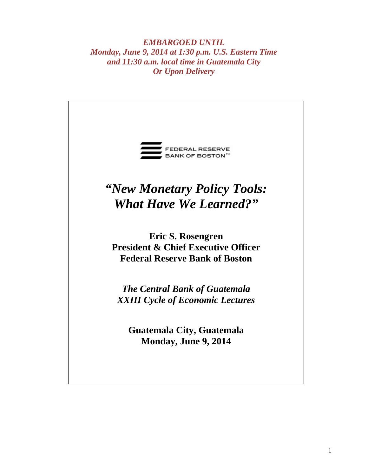*EMBARGOED UNTIL Monday, June 9, 2014 at 1:30 p.m. U.S. Eastern Time and 11:30 a.m. local time in Guatemala City Or Upon Delivery* 

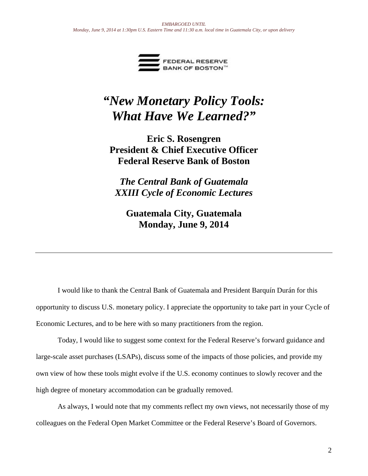

# *"New Monetary Policy Tools: What Have We Learned?"*

**Eric S. Rosengren President & Chief Executive Officer Federal Reserve Bank of Boston** 

*The Central Bank of Guatemala XXIII Cycle of Economic Lectures* 

**Guatemala City, Guatemala Monday, June 9, 2014** 

 I would like to thank the Central Bank of Guatemala and President Barquín Durán for this opportunity to discuss U.S. monetary policy. I appreciate the opportunity to take part in your Cycle of Economic Lectures, and to be here with so many practitioners from the region.

Today, I would like to suggest some context for the Federal Reserve's forward guidance and large-scale asset purchases (LSAPs), discuss some of the impacts of those policies, and provide my own view of how these tools might evolve if the U.S. economy continues to slowly recover and the high degree of monetary accommodation can be gradually removed.

As always, I would note that my comments reflect my own views, not necessarily those of my colleagues on the Federal Open Market Committee or the Federal Reserve's Board of Governors.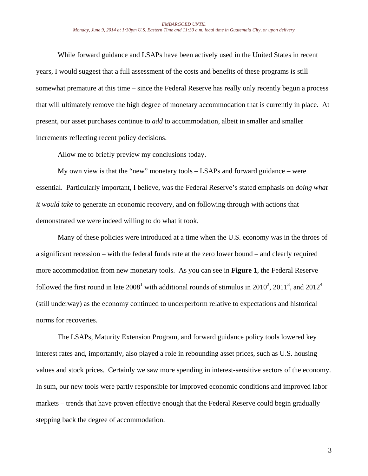While forward guidance and LSAPs have been actively used in the United States in recent years, I would suggest that a full assessment of the costs and benefits of these programs is still somewhat premature at this time – since the Federal Reserve has really only recently begun a process that will ultimately remove the high degree of monetary accommodation that is currently in place. At present, our asset purchases continue to *add* to accommodation, albeit in smaller and smaller increments reflecting recent policy decisions.

Allow me to briefly preview my conclusions today.

My own view is that the "new" monetary tools – LSAPs and forward guidance – were essential. Particularly important, I believe, was the Federal Reserve's stated emphasis on *doing what it would take* to generate an economic recovery, and on following through with actions that demonstrated we were indeed willing to do what it took.

Many of these policies were introduced at a time when the U.S. economy was in the throes of a significant recession – with the federal funds rate at the zero lower bound – and clearly required more accommodation from new monetary tools. As you can see in **Figure 1**, the Federal Reserve followed the first round in late  $2008^1$  with additional rounds of stimulus in  $2010^2$ ,  $2011^3$ , and  $2012^4$ (still underway) as the economy continued to underperform relative to expectations and historical norms for recoveries.

The LSAPs, Maturity Extension Program, and forward guidance policy tools lowered key interest rates and, importantly, also played a role in rebounding asset prices, such as U.S. housing values and stock prices. Certainly we saw more spending in interest-sensitive sectors of the economy. In sum, our new tools were partly responsible for improved economic conditions and improved labor markets – trends that have proven effective enough that the Federal Reserve could begin gradually stepping back the degree of accommodation.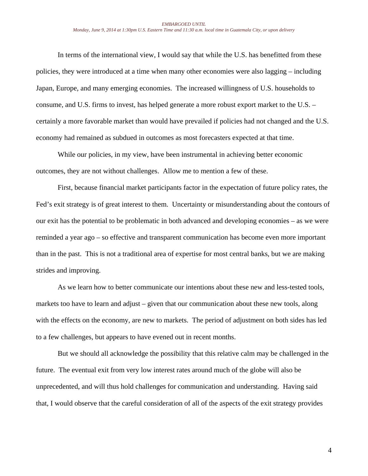In terms of the international view, I would say that while the U.S. has benefitted from these policies, they were introduced at a time when many other economies were also lagging – including Japan, Europe, and many emerging economies. The increased willingness of U.S. households to consume, and U.S. firms to invest, has helped generate a more robust export market to the U.S. – certainly a more favorable market than would have prevailed if policies had not changed and the U.S. economy had remained as subdued in outcomes as most forecasters expected at that time.

 While our policies, in my view, have been instrumental in achieving better economic outcomes, they are not without challenges. Allow me to mention a few of these.

First, because financial market participants factor in the expectation of future policy rates, the Fed's exit strategy is of great interest to them. Uncertainty or misunderstanding about the contours of our exit has the potential to be problematic in both advanced and developing economies – as we were reminded a year ago – so effective and transparent communication has become even more important than in the past. This is not a traditional area of expertise for most central banks, but we are making strides and improving.

As we learn how to better communicate our intentions about these new and less-tested tools, markets too have to learn and adjust – given that our communication about these new tools, along with the effects on the economy, are new to markets. The period of adjustment on both sides has led to a few challenges, but appears to have evened out in recent months.

But we should all acknowledge the possibility that this relative calm may be challenged in the future. The eventual exit from very low interest rates around much of the globe will also be unprecedented, and will thus hold challenges for communication and understanding. Having said that, I would observe that the careful consideration of all of the aspects of the exit strategy provides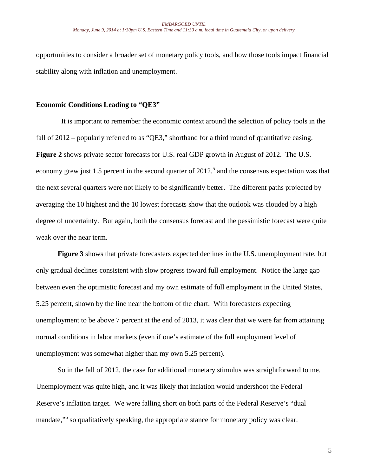opportunities to consider a broader set of monetary policy tools, and how those tools impact financial stability along with inflation and unemployment.

## **Economic Conditions Leading to "QE3"**

 It is important to remember the economic context around the selection of policy tools in the fall of 2012 – popularly referred to as "QE3," shorthand for a third round of quantitative easing. **Figure 2** shows private sector forecasts for U.S. real GDP growth in August of 2012. The U.S. economy grew just 1.5 percent in the second quarter of  $2012<sup>5</sup>$  and the consensus expectation was that the next several quarters were not likely to be significantly better. The different paths projected by averaging the 10 highest and the 10 lowest forecasts show that the outlook was clouded by a high degree of uncertainty. But again, both the consensus forecast and the pessimistic forecast were quite weak over the near term.

**Figure 3** shows that private forecasters expected declines in the U.S. unemployment rate, but only gradual declines consistent with slow progress toward full employment. Notice the large gap between even the optimistic forecast and my own estimate of full employment in the United States, 5.25 percent, shown by the line near the bottom of the chart. With forecasters expecting unemployment to be above 7 percent at the end of 2013, it was clear that we were far from attaining normal conditions in labor markets (even if one's estimate of the full employment level of unemployment was somewhat higher than my own 5.25 percent).

So in the fall of 2012, the case for additional monetary stimulus was straightforward to me. Unemployment was quite high, and it was likely that inflation would undershoot the Federal Reserve's inflation target. We were falling short on both parts of the Federal Reserve's "dual mandate,"<sup>6</sup> so qualitatively speaking, the appropriate stance for monetary policy was clear.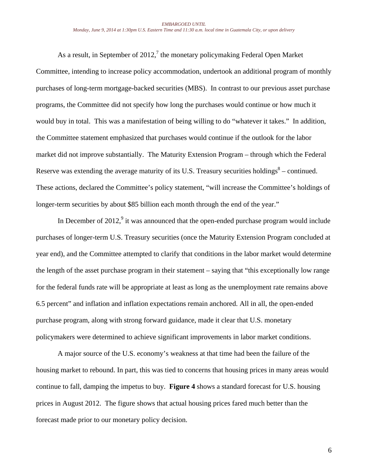As a result, in September of 2012,<sup>7</sup> the monetary policymaking Federal Open Market Committee, intending to increase policy accommodation, undertook an additional program of monthly purchases of long-term mortgage-backed securities (MBS). In contrast to our previous asset purchase programs, the Committee did not specify how long the purchases would continue or how much it would buy in total. This was a manifestation of being willing to do "whatever it takes." In addition, the Committee statement emphasized that purchases would continue if the outlook for the labor market did not improve substantially. The Maturity Extension Program – through which the Federal Reserve was extending the average maturity of its U.S. Treasury securities holdings<sup>8</sup> – continued. These actions, declared the Committee's policy statement, "will increase the Committee's holdings of longer-term securities by about \$85 billion each month through the end of the year."

In December of 2012, $9$  it was announced that the open-ended purchase program would include purchases of longer-term U.S. Treasury securities (once the Maturity Extension Program concluded at year end), and the Committee attempted to clarify that conditions in the labor market would determine the length of the asset purchase program in their statement – saying that "this exceptionally low range for the federal funds rate will be appropriate at least as long as the unemployment rate remains above 6.5 percent" and inflation and inflation expectations remain anchored. All in all, the open-ended purchase program, along with strong forward guidance, made it clear that U.S. monetary policymakers were determined to achieve significant improvements in labor market conditions.

A major source of the U.S. economy's weakness at that time had been the failure of the housing market to rebound. In part, this was tied to concerns that housing prices in many areas would continue to fall, damping the impetus to buy. **Figure 4** shows a standard forecast for U.S. housing prices in August 2012. The figure shows that actual housing prices fared much better than the forecast made prior to our monetary policy decision.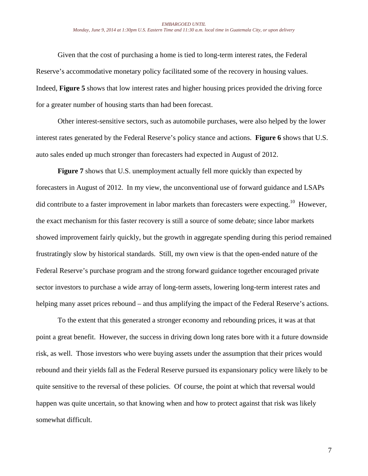Given that the cost of purchasing a home is tied to long-term interest rates, the Federal Reserve's accommodative monetary policy facilitated some of the recovery in housing values. Indeed, **Figure 5** shows that low interest rates and higher housing prices provided the driving force for a greater number of housing starts than had been forecast.

Other interest-sensitive sectors, such as automobile purchases, were also helped by the lower interest rates generated by the Federal Reserve's policy stance and actions. **Figure 6** shows that U.S. auto sales ended up much stronger than forecasters had expected in August of 2012.

**Figure 7** shows that U.S. unemployment actually fell more quickly than expected by forecasters in August of 2012. In my view, the unconventional use of forward guidance and LSAPs did contribute to a faster improvement in labor markets than forecasters were expecting.<sup>10</sup> However, the exact mechanism for this faster recovery is still a source of some debate; since labor markets showed improvement fairly quickly, but the growth in aggregate spending during this period remained frustratingly slow by historical standards. Still, my own view is that the open-ended nature of the Federal Reserve's purchase program and the strong forward guidance together encouraged private sector investors to purchase a wide array of long-term assets, lowering long-term interest rates and helping many asset prices rebound – and thus amplifying the impact of the Federal Reserve's actions.

To the extent that this generated a stronger economy and rebounding prices, it was at that point a great benefit. However, the success in driving down long rates bore with it a future downside risk, as well. Those investors who were buying assets under the assumption that their prices would rebound and their yields fall as the Federal Reserve pursued its expansionary policy were likely to be quite sensitive to the reversal of these policies. Of course, the point at which that reversal would happen was quite uncertain, so that knowing when and how to protect against that risk was likely somewhat difficult.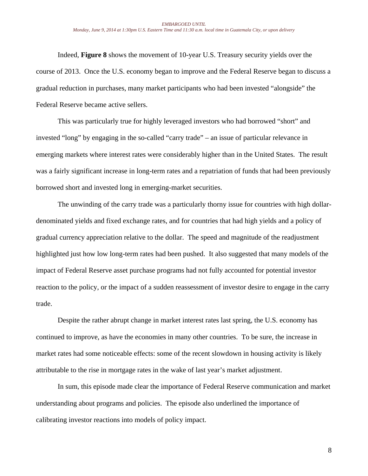Indeed, **Figure 8** shows the movement of 10-year U.S. Treasury security yields over the course of 2013. Once the U.S. economy began to improve and the Federal Reserve began to discuss a gradual reduction in purchases, many market participants who had been invested "alongside" the Federal Reserve became active sellers.

This was particularly true for highly leveraged investors who had borrowed "short" and invested "long" by engaging in the so-called "carry trade" – an issue of particular relevance in emerging markets where interest rates were considerably higher than in the United States. The result was a fairly significant increase in long-term rates and a repatriation of funds that had been previously borrowed short and invested long in emerging-market securities.

The unwinding of the carry trade was a particularly thorny issue for countries with high dollardenominated yields and fixed exchange rates, and for countries that had high yields and a policy of gradual currency appreciation relative to the dollar. The speed and magnitude of the readjustment highlighted just how low long-term rates had been pushed. It also suggested that many models of the impact of Federal Reserve asset purchase programs had not fully accounted for potential investor reaction to the policy, or the impact of a sudden reassessment of investor desire to engage in the carry trade.

Despite the rather abrupt change in market interest rates last spring, the U.S. economy has continued to improve, as have the economies in many other countries. To be sure, the increase in market rates had some noticeable effects: some of the recent slowdown in housing activity is likely attributable to the rise in mortgage rates in the wake of last year's market adjustment.

In sum, this episode made clear the importance of Federal Reserve communication and market understanding about programs and policies. The episode also underlined the importance of calibrating investor reactions into models of policy impact.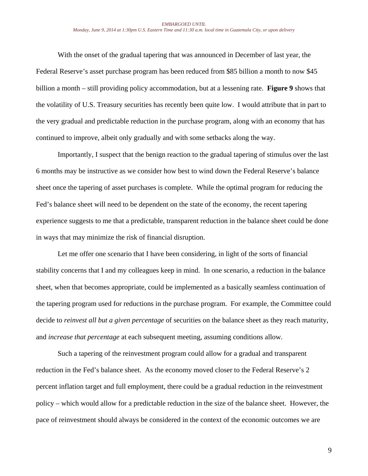With the onset of the gradual tapering that was announced in December of last year, the Federal Reserve's asset purchase program has been reduced from \$85 billion a month to now \$45 billion a month – still providing policy accommodation, but at a lessening rate. **Figure 9** shows that the volatility of U.S. Treasury securities has recently been quite low.I would attribute that in part to the very gradual and predictable reduction in the purchase program, along with an economy that has continued to improve, albeit only gradually and with some setbacks along the way.

Importantly, I suspect that the benign reaction to the gradual tapering of stimulus over the last 6 months may be instructive as we consider how best to wind down the Federal Reserve's balance sheet once the tapering of asset purchases is complete. While the optimal program for reducing the Fed's balance sheet will need to be dependent on the state of the economy, the recent tapering experience suggests to me that a predictable, transparent reduction in the balance sheet could be done in ways that may minimize the risk of financial disruption.

Let me offer one scenario that I have been considering, in light of the sorts of financial stability concerns that I and my colleagues keep in mind. In one scenario, a reduction in the balance sheet, when that becomes appropriate, could be implemented as a basically seamless continuation of the tapering program used for reductions in the purchase program. For example, the Committee could decide to *reinvest all but a given percentage* of securities on the balance sheet as they reach maturity, and *increase that percentage* at each subsequent meeting, assuming conditions allow.

Such a tapering of the reinvestment program could allow for a gradual and transparent reduction in the Fed's balance sheet. As the economy moved closer to the Federal Reserve's 2 percent inflation target and full employment, there could be a gradual reduction in the reinvestment policy – which would allow for a predictable reduction in the size of the balance sheet. However, the pace of reinvestment should always be considered in the context of the economic outcomes we are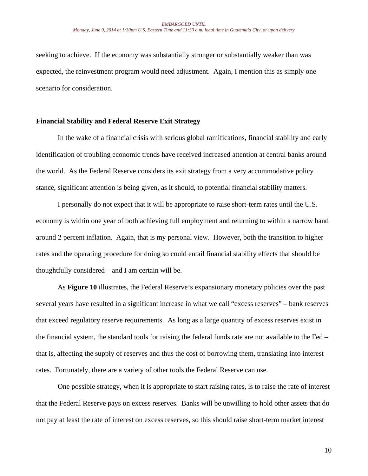seeking to achieve. If the economy was substantially stronger or substantially weaker than was expected, the reinvestment program would need adjustment. Again, I mention this as simply one scenario for consideration.

## **Financial Stability and Federal Reserve Exit Strategy**

In the wake of a financial crisis with serious global ramifications, financial stability and early identification of troubling economic trends have received increased attention at central banks around the world. As the Federal Reserve considers its exit strategy from a very accommodative policy stance, significant attention is being given, as it should, to potential financial stability matters.

I personally do not expect that it will be appropriate to raise short-term rates until the U.S. economy is within one year of both achieving full employment and returning to within a narrow band around 2 percent inflation. Again, that is my personal view. However, both the transition to higher rates and the operating procedure for doing so could entail financial stability effects that should be thoughtfully considered – and I am certain will be.

As **Figure 10** illustrates, the Federal Reserve's expansionary monetary policies over the past several years have resulted in a significant increase in what we call "excess reserves" – bank reserves that exceed regulatory reserve requirements. As long as a large quantity of excess reserves exist in the financial system, the standard tools for raising the federal funds rate are not available to the Fed – that is, affecting the supply of reserves and thus the cost of borrowing them, translating into interest rates. Fortunately, there are a variety of other tools the Federal Reserve can use.

One possible strategy, when it is appropriate to start raising rates, is to raise the rate of interest that the Federal Reserve pays on excess reserves. Banks will be unwilling to hold other assets that do not pay at least the rate of interest on excess reserves, so this should raise short-term market interest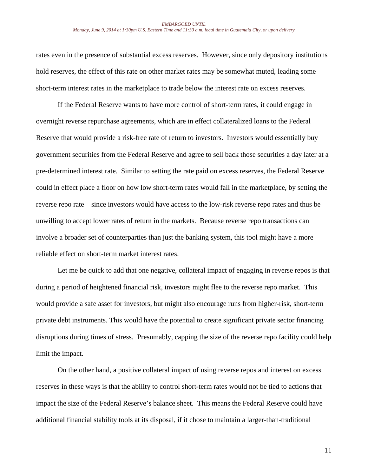#### *EMBARGOED UNTIL Monday, June 9, 2014 at 1:30pm U.S. Eastern Time and 11:30 a.m. local time in Guatemala City, or upon delivery*

rates even in the presence of substantial excess reserves. However, since only depository institutions hold reserves, the effect of this rate on other market rates may be somewhat muted, leading some short-term interest rates in the marketplace to trade below the interest rate on excess reserves.

If the Federal Reserve wants to have more control of short-term rates, it could engage in overnight reverse repurchase agreements, which are in effect collateralized loans to the Federal Reserve that would provide a risk-free rate of return to investors. Investors would essentially buy government securities from the Federal Reserve and agree to sell back those securities a day later at a pre-determined interest rate. Similar to setting the rate paid on excess reserves, the Federal Reserve could in effect place a floor on how low short-term rates would fall in the marketplace, by setting the reverse repo rate – since investors would have access to the low-risk reverse repo rates and thus be unwilling to accept lower rates of return in the markets. Because reverse repo transactions can involve a broader set of counterparties than just the banking system, this tool might have a more reliable effect on short-term market interest rates.

Let me be quick to add that one negative, collateral impact of engaging in reverse repos is that during a period of heightened financial risk, investors might flee to the reverse repo market. This would provide a safe asset for investors, but might also encourage runs from higher-risk, short-term private debt instruments. This would have the potential to create significant private sector financing disruptions during times of stress. Presumably, capping the size of the reverse repo facility could help limit the impact.

On the other hand, a positive collateral impact of using reverse repos and interest on excess reserves in these ways is that the ability to control short-term rates would not be tied to actions that impact the size of the Federal Reserve's balance sheet. This means the Federal Reserve could have additional financial stability tools at its disposal, if it chose to maintain a larger-than-traditional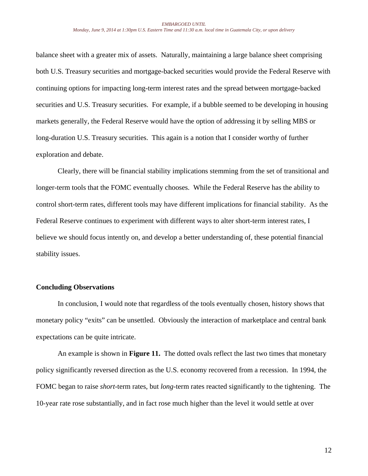balance sheet with a greater mix of assets. Naturally, maintaining a large balance sheet comprising both U.S. Treasury securities and mortgage-backed securities would provide the Federal Reserve with continuing options for impacting long-term interest rates and the spread between mortgage-backed securities and U.S. Treasury securities. For example, if a bubble seemed to be developing in housing markets generally, the Federal Reserve would have the option of addressing it by selling MBS or long-duration U.S. Treasury securities. This again is a notion that I consider worthy of further exploration and debate.

Clearly, there will be financial stability implications stemming from the set of transitional and longer-term tools that the FOMC eventually chooses. While the Federal Reserve has the ability to control short-term rates, different tools may have different implications for financial stability. As the Federal Reserve continues to experiment with different ways to alter short-term interest rates, I believe we should focus intently on, and develop a better understanding of, these potential financial stability issues.

## **Concluding Observations**

In conclusion, I would note that regardless of the tools eventually chosen, history shows that monetary policy "exits" can be unsettled. Obviously the interaction of marketplace and central bank expectations can be quite intricate.

An example is shown in **Figure 11.** The dotted ovals reflect the last two times that monetary policy significantly reversed direction as the U.S. economy recovered from a recession. In 1994, the FOMC began to raise *short*-term rates, but *long*-term rates reacted significantly to the tightening. The 10-year rate rose substantially, and in fact rose much higher than the level it would settle at over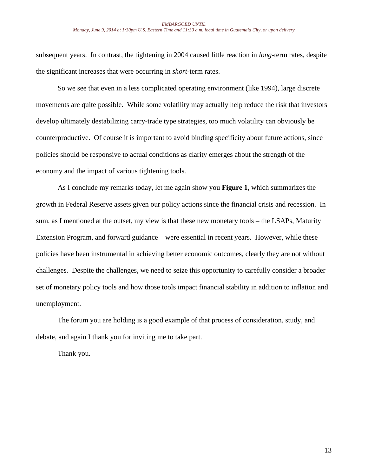### *EMBARGOED UNTIL Monday, June 9, 2014 at 1:30pm U.S. Eastern Time and 11:30 a.m. local time in Guatemala City, or upon delivery*

subsequent years. In contrast, the tightening in 2004 caused little reaction in *long*-term rates, despite the significant increases that were occurring in *short*-term rates.

So we see that even in a less complicated operating environment (like 1994), large discrete movements are quite possible. While some volatility may actually help reduce the risk that investors develop ultimately destabilizing carry-trade type strategies, too much volatility can obviously be counterproductive. Of course it is important to avoid binding specificity about future actions, since policies should be responsive to actual conditions as clarity emerges about the strength of the economy and the impact of various tightening tools.

As I conclude my remarks today, let me again show you **Figure 1**, which summarizes the growth in Federal Reserve assets given our policy actions since the financial crisis and recession. In sum, as I mentioned at the outset, my view is that these new monetary tools – the LSAPs, Maturity Extension Program, and forward guidance – were essential in recent years. However, while these policies have been instrumental in achieving better economic outcomes, clearly they are not without challenges. Despite the challenges, we need to seize this opportunity to carefully consider a broader set of monetary policy tools and how those tools impact financial stability in addition to inflation and unemployment.

The forum you are holding is a good example of that process of consideration, study, and debate, and again I thank you for inviting me to take part.

Thank you.